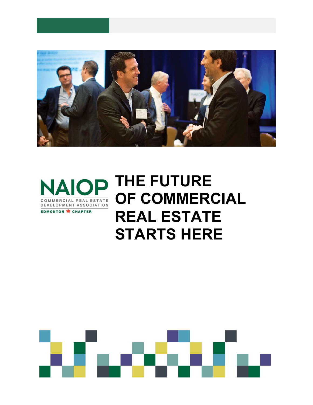



# **NAIOP THE FUTURE OF COMMERCIAL REAL ESTATE STARTS HERE**

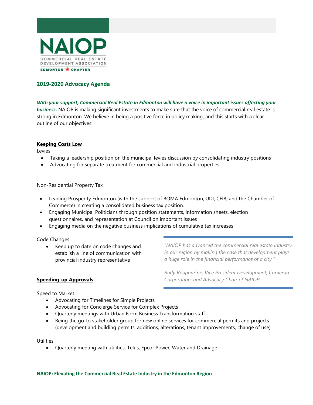

# **2019-2020 Advocacy Agenda**

*With your support, Commercial Real Estate in Edmonton will have a voice in important issues affecting your business.* NAIOP is making significant investments to make sure that the voice of commercial real estate is strong in Edmonton. We believe in being a positive force in policy making, and this starts with a clear outline of our objectives:

#### **Keeping Costs Low**

Levies

- Taking a leadership position on the municipal levies discussion by consolidating industry positions
- Advocating for separate treatment for commercial and industrial properties

Non-Residential Property Tax

- Leading Prosperity Edmonton (with the support of BOMA Edmonton, UDI, CFIB, and the Chamber of Commerce) in creating a consolidated business tax position.
- Engaging Municipal Politicians through position statements, information sheets, election questionnaires, and representation at Council on important issues
- Engaging media on the negative business implications of cumulative tax increases

#### Code Changes

• Keep up to date on code changes and establish a line of communication with provincial industry representative

*"NAIOP has advanced the commercial real estate industry in our region by making the case that development plays a huge role in the financial performance of a city."*

*Rudy Roopnarine, Vice President Development, Cameron Corporation, and Advocacy Chair of NAIOP*

#### **Speeding-up Approvals**

Speed to Market

- Advocating for Timelines for Simple Projects
- Advocating for Concierge Service for Complex Projects
- Quarterly meetings with Urban Form Business Transformation staff
- Being the go-to stakeholder group for new online services for commercial permits and projects (development and building permits, additions, alterations, tenant improvements, change of use)

**Utilities** 

• Quarterly meeting with utilities: Telus, Epcor Power, Water and Drainage